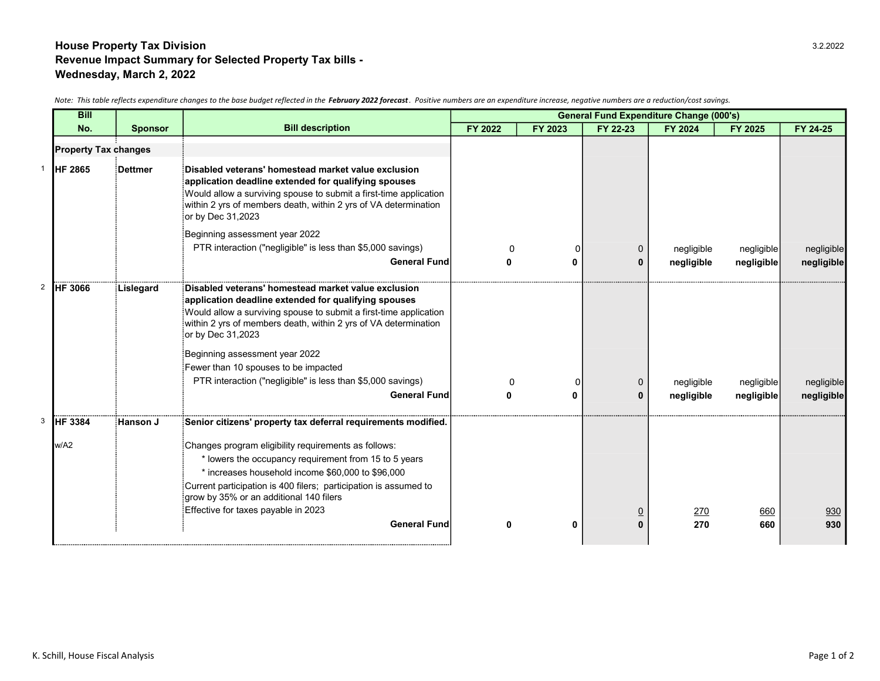## House Property Tax Division 3.2.2022 Revenue Impact Summary for Selected Property Tax bills - Wednesday, March 2, 2022

| <b>Bill</b>                 |                |                                                                                                                                                                                                                                                                                                                                                                                                                                          | <b>General Fund Expenditure Change (000's)</b> |         |               |                          |                          |                          |
|-----------------------------|----------------|------------------------------------------------------------------------------------------------------------------------------------------------------------------------------------------------------------------------------------------------------------------------------------------------------------------------------------------------------------------------------------------------------------------------------------------|------------------------------------------------|---------|---------------|--------------------------|--------------------------|--------------------------|
| No.                         | <b>Sponsor</b> | <b>Bill description</b>                                                                                                                                                                                                                                                                                                                                                                                                                  | FY 2022                                        | FY 2023 | FY 22-23      | FY 2024                  | <b>FY 2025</b>           | FY 24-25                 |
| <b>Property Tax changes</b> |                |                                                                                                                                                                                                                                                                                                                                                                                                                                          |                                                |         |               |                          |                          |                          |
| <b>HF 2865</b>              | ∶Dettmer       | Disabled veterans' homestead market value exclusion<br>application deadline extended for qualifying spouses<br>Would allow a surviving spouse to submit a first-time application<br>within 2 yrs of members death, within 2 yrs of VA determination<br>or by Dec 31,2023<br>Beginning assessment year 2022<br>PTR interaction ("negligible" is less than \$5,000 savings)<br><b>General Fund</b>                                         |                                                |         | n             | negligible               | negligible               | negligible               |
|                             |                |                                                                                                                                                                                                                                                                                                                                                                                                                                          | n                                              | ŋ       | o             | negligible               | negligible               | negligible               |
| <b>HF 3066</b>              | Lislegard      | Disabled veterans' homestead market value exclusion<br>application deadline extended for qualifying spouses<br>Would allow a surviving spouse to submit a first-time application<br>within 2 yrs of members death, within 2 yrs of VA determination<br>or by Dec 31,2023<br>Beginning assessment year 2022<br>Fewer than 10 spouses to be impacted<br>PTR interaction ("negligible" is less than \$5,000 savings)<br><b>General Fund</b> | ŋ                                              | ŋ       | $\Omega$<br>0 | negligible<br>negligible | negligible<br>negligible | negligible<br>negligible |
| HF 3384                     | Hanson J       | Senior citizens' property tax deferral requirements modified.                                                                                                                                                                                                                                                                                                                                                                            |                                                |         |               |                          |                          |                          |
| w/A2                        |                | Changes program eligibility requirements as follows:<br>* lowers the occupancy requirement from 15 to 5 years<br>* increases household income \$60,000 to \$96,000<br>Current participation is 400 filers; participation is assumed to<br>grow by 35% or an additional 140 filers<br>Effective for taxes payable in 2023                                                                                                                 |                                                |         |               | <u>270</u>               | 660                      | 930                      |
|                             |                | <b>General Fund</b>                                                                                                                                                                                                                                                                                                                                                                                                                      | ŋ                                              | O       |               | 270                      | 660                      | 930                      |
|                             |                |                                                                                                                                                                                                                                                                                                                                                                                                                                          |                                                |         |               |                          |                          |                          |

Note: This table reflects expenditure changes to the base budget reflected in the February 2022 forecast. Positive numbers are an expenditure increase, negative numbers are a reduction/cost savings.